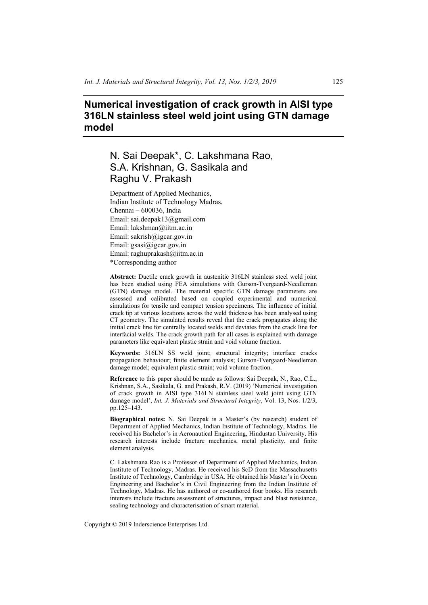# **Numerical investigation of crack growth in AISI type 316LN stainless steel weld joint using GTN damage model**

# N. Sai Deepak\*, C. Lakshmana Rao, S.A. Krishnan, G. Sasikala and Raghu V. Prakash

Department of Applied Mechanics, Indian Institute of Technology Madras, Chennai – 600036, India Email: sai.deepak13@gmail.com Email: lakshman@iitm.ac.in Email: sakrish@igcar.gov.in Email: gsasi@igcar.gov.in Email: raghuprakash@iitm.ac.in \*Corresponding author

**Abstract:** Ductile crack growth in austenitic 316LN stainless steel weld joint has been studied using FEA simulations with Gurson-Tvergaard-Needleman (GTN) damage model. The material specific GTN damage parameters are assessed and calibrated based on coupled experimental and numerical simulations for tensile and compact tension specimens. The influence of initial crack tip at various locations across the weld thickness has been analysed using CT geometry. The simulated results reveal that the crack propagates along the initial crack line for centrally located welds and deviates from the crack line for interfacial welds. The crack growth path for all cases is explained with damage parameters like equivalent plastic strain and void volume fraction.

**Keywords:** 316LN SS weld joint; structural integrity; interface cracks propagation behaviour; finite element analysis; Gurson-Tvergaard-Needleman damage model; equivalent plastic strain; void volume fraction.

**Reference** to this paper should be made as follows: Sai Deepak, N., Rao, C.L., Krishnan, S.A., Sasikala, G. and Prakash, R.V. (2019) 'Numerical investigation of crack growth in AISI type 316LN stainless steel weld joint using GTN damage model', *Int. J. Materials and Structural Integrity*, Vol. 13, Nos. 1/2/3, pp.125–143.

**Biographical notes:** N. Sai Deepak is a Master's (by research) student of Department of Applied Mechanics, Indian Institute of Technology, Madras. He received his Bachelor's in Aeronautical Engineering, Hindustan University. His research interests include fracture mechanics, metal plasticity, and finite element analysis.

C. Lakshmana Rao is a Professor of Department of Applied Mechanics, Indian Institute of Technology, Madras. He received his ScD from the Massachusetts Institute of Technology, Cambridge in USA. He obtained his Master's in Ocean Engineering and Bachelor's in Civil Engineering from the Indian Institute of Technology, Madras. He has authored or co-authored four books. His research interests include fracture assessment of structures, impact and blast resistance, sealing technology and characterisation of smart material.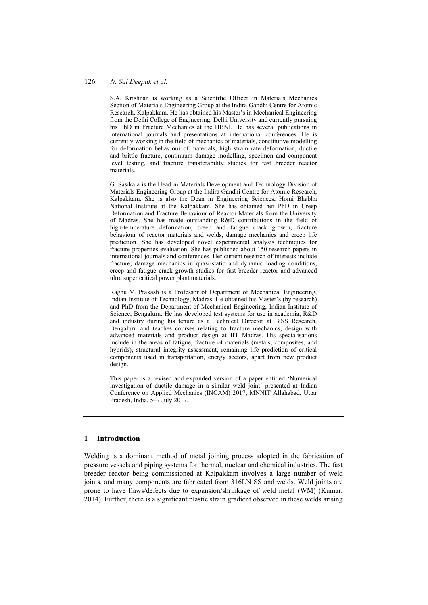S.A. Krishnan is working as a Scientific Officer in Materials Mechanics Section of Materials Engineering Group at the Indira Gandhi Centre for Atomic Research, Kalpakkam. He has obtained his Master's in Mechanical Engineering from the Delhi College of Engineering, Delhi University and currently pursuing his PhD in Fracture Mechanics at the HBNI. He has several publications in international journals and presentations at international conferences. He is currently working in the field of mechanics of materials, constitutive modelling for deformation behaviour of materials, high strain rate deformation, ductile and brittle fracture, continuum damage modelling, specimen and component level testing, and fracture transferability studies for fast breeder reactor materials.

G. Sasikala is the Head in Materials Development and Technology Division of Materials Engineering Group at the Indira Gandhi Centre for Atomic Research, Kalpakkam. She is also the Dean in Engineering Sciences, Homi Bhabha National Institute at the Kalpakkam. She has obtained her PhD in Creep Deformation and Fracture Behaviour of Reactor Materials from the University of Madras. She has made outstanding R&D contributions in the field of high-temperature deformation, creep and fatigue crack growth, fracture behaviour of reactor materials and welds, damage mechanics and creep life prediction. She has developed novel experimental analysis techniques for fracture properties evaluation. She has published about 150 research papers in international journals and conferences. Her current research of interests include fracture, damage mechanics in quasi-static and dynamic loading conditions, creep and fatigue crack growth studies for fast breeder reactor and advanced ultra super critical power plant materials.

Raghu V. Prakash is a Professor of Department of Mechanical Engineering, Indian Institute of Technology, Madras. He obtained his Master's (by research) and PhD from the Department of Mechanical Engineering, Indian Institute of Science, Bengaluru. He has developed test systems for use in academia, R&D and industry during his tenure as a Technical Director at BiSS Research, Bengaluru and teaches courses relating to fracture mechanics, design with advanced materials and product design at IIT Madras. His specialisations include in the areas of fatigue, fracture of materials (metals, composites, and hybrids), structural integrity assessment, remaining life prediction of critical components used in transportation, energy sectors, apart from new product design.

This paper is a revised and expanded version of a paper entitled 'Numerical investigation of ductile damage in a similar weld joint' presented at Indian Conference on Applied Mechanics (INCAM) 2017, MNNIT Allahabad, Uttar Pradesh, India, 5–7 July 2017.

# **1 Introduction**

Welding is a dominant method of metal joining process adopted in the fabrication of pressure vessels and piping systems for thermal, nuclear and chemical industries. The fast breeder reactor being commissioned at Kalpakkam involves a large number of weld joints, and many components are fabricated from 316LN SS and welds. Weld joints are prone to have flaws/defects due to expansion/shrinkage of weld metal (WM) (Kumar, 2014). Further, there is a significant plastic strain gradient observed in these welds arising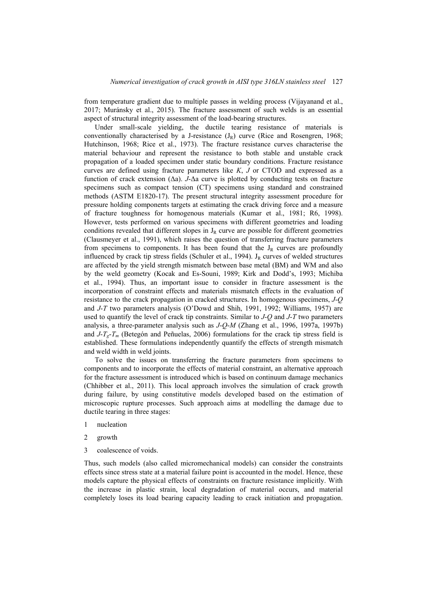from temperature gradient due to multiple passes in welding process (Vijayanand et al., 2017; Muránsky et al., 2015). The fracture assessment of such welds is an essential aspect of structural integrity assessment of the load-bearing structures.

Under small-scale yielding, the ductile tearing resistance of materials is conventionally characterised by a J-resistance  $(J_R)$  curve (Rice and Rosengren, 1968; Hutchinson, 1968; Rice et al., 1973). The fracture resistance curves characterise the material behaviour and represent the resistance to both stable and unstable crack propagation of a loaded specimen under static boundary conditions. Fracture resistance curves are defined using fracture parameters like *K*, *J* or CTOD and expressed as a function of crack extension (Δa). *J*-Δa curve is plotted by conducting tests on fracture specimens such as compact tension (CT) specimens using standard and constrained methods (ASTM E1820-17). The present structural integrity assessment procedure for pressure holding components targets at estimating the crack driving force and a measure of fracture toughness for homogenous materials (Kumar et al., 1981; R6, 1998). However, tests performed on various specimens with different geometries and loading conditions revealed that different slopes in  $J_R$  curve are possible for different geometries (Clausmeyer et al., 1991), which raises the question of transferring fracture parameters from specimens to components. It has been found that the  $J_R$  curves are profoundly influenced by crack tip stress fields (Schuler et al., 1994).  $J_R$  curves of welded structures are affected by the yield strength mismatch between base metal (BM) and WM and also by the weld geometry (Kocak and Es-Souni, 1989; Kirk and Dodd's, 1993; Michiba et al., 1994). Thus, an important issue to consider in fracture assessment is the incorporation of constraint effects and materials mismatch effects in the evaluation of resistance to the crack propagation in cracked structures. In homogenous specimens, *J*-*Q* and *J*-*T* two parameters analysis (O'Dowd and Shih, 1991, 1992; Williams, 1957) are used to quantify the level of crack tip constraints. Similar to *J*-*Q* and *J*-*T* two parameters analysis, a three-parameter analysis such as *J*-*Q*-*M* (Zhang et al., 1996, 1997a, 1997b) and  $J-T_g-T_m$  (Betegón and Peñuelas, 2006) formulations for the crack tip stress field is established. These formulations independently quantify the effects of strength mismatch and weld width in weld joints.

To solve the issues on transferring the fracture parameters from specimens to components and to incorporate the effects of material constraint, an alternative approach for the fracture assessment is introduced which is based on continuum damage mechanics (Chhibber et al., 2011). This local approach involves the simulation of crack growth during failure, by using constitutive models developed based on the estimation of microscopic rupture processes. Such approach aims at modelling the damage due to ductile tearing in three stages:

- 1 nucleation
- 2 growth
- 3 coalescence of voids.

Thus, such models (also called micromechanical models) can consider the constraints effects since stress state at a material failure point is accounted in the model. Hence, these models capture the physical effects of constraints on fracture resistance implicitly. With the increase in plastic strain, local degradation of material occurs, and material completely loses its load bearing capacity leading to crack initiation and propagation.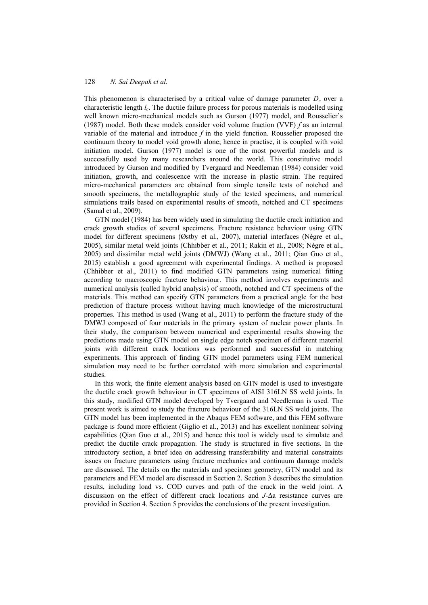This phenomenon is characterised by a critical value of damage parameter  $D_c$  over a characteristic length *l<sup>c</sup>* . The ductile failure process for porous materials is modelled using well known micro-mechanical models such as Gurson (1977) model, and Rousselier's (1987) model. Both these models consider void volume fraction (VVF) *f* as an internal variable of the material and introduce *f* in the yield function. Rousselier proposed the continuum theory to model void growth alone; hence in practise, it is coupled with void initiation model. Gurson (1977) model is one of the most powerful models and is successfully used by many researchers around the world. This constitutive model introduced by Gurson and modified by Tvergaard and Needleman (1984) consider void initiation, growth, and coalescence with the increase in plastic strain. The required micro-mechanical parameters are obtained from simple tensile tests of notched and smooth specimens, the metallographic study of the tested specimens, and numerical simulations trails based on experimental results of smooth, notched and CT specimens (Samal et al., 2009).

GTN model (1984) has been widely used in simulating the ductile crack initiation and crack growth studies of several specimens. Fracture resistance behaviour using GTN model for different specimens (Østby et al., 2007), material interfaces (Nègre et al., 2005), similar metal weld joints (Chhibber et al., 2011; Rakin et al., 2008; Nègre et al., 2005) and dissimilar metal weld joints (DMWJ) (Wang et al., 2011; Qian Guo et al., 2015) establish a good agreement with experimental findings. A method is proposed (Chhibber et al., 2011) to find modified GTN parameters using numerical fitting according to macroscopic fracture behaviour. This method involves experiments and numerical analysis (called hybrid analysis) of smooth, notched and CT specimens of the materials. This method can specify GTN parameters from a practical angle for the best prediction of fracture process without having much knowledge of the microstructural properties. This method is used (Wang et al., 2011) to perform the fracture study of the DMWJ composed of four materials in the primary system of nuclear power plants. In their study, the comparison between numerical and experimental results showing the predictions made using GTN model on single edge notch specimen of different material joints with different crack locations was performed and successful in matching experiments. This approach of finding GTN model parameters using FEM numerical simulation may need to be further correlated with more simulation and experimental studies.

In this work, the finite element analysis based on GTN model is used to investigate the ductile crack growth behaviour in CT specimens of AISI 316LN SS weld joints. In this study, modified GTN model developed by Tvergaard and Needleman is used. The present work is aimed to study the fracture behaviour of the 316LN SS weld joints. The GTN model has been implemented in the Abaqus FEM software, and this FEM software package is found more efficient (Giglio et al., 2013) and has excellent nonlinear solving capabilities (Qian Guo et al., 2015) and hence this tool is widely used to simulate and predict the ductile crack propagation. The study is structured in five sections. In the introductory section, a brief idea on addressing transferability and material constraints issues on fracture parameters using fracture mechanics and continuum damage models are discussed. The details on the materials and specimen geometry, GTN model and its parameters and FEM model are discussed in Section 2. Section 3 describes the simulation results, including load vs. COD curves and path of the crack in the weld joint. A discussion on the effect of different crack locations and *J*-Δa resistance curves are provided in Section 4. Section 5 provides the conclusions of the present investigation.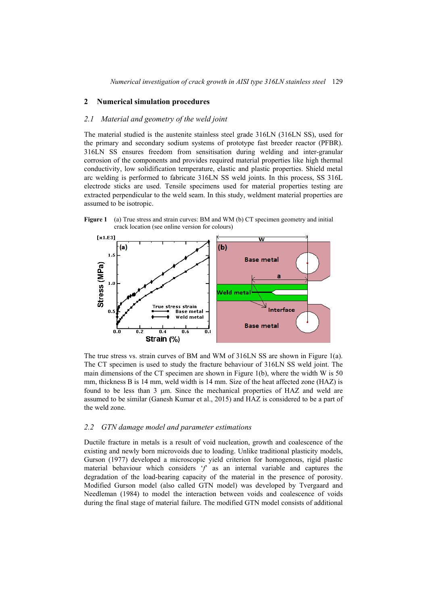# **2 Numerical simulation procedures**

## *2.1 Material and geometry of the weld joint*

The material studied is the austenite stainless steel grade 316LN (316LN SS), used for the primary and secondary sodium systems of prototype fast breeder reactor (PFBR). 316LN SS ensures freedom from sensitisation during welding and inter-granular corrosion of the components and provides required material properties like high thermal conductivity, low solidification temperature, elastic and plastic properties. Shield metal arc welding is performed to fabricate 316LN SS weld joints. In this process, SS 316L electrode sticks are used. Tensile specimens used for material properties testing are extracted perpendicular to the weld seam. In this study, weldment material properties are assumed to be isotropic.





The true stress vs. strain curves of BM and WM of 316LN SS are shown in Figure 1(a). The CT specimen is used to study the fracture behaviour of 316LN SS weld joint. The main dimensions of the CT specimen are shown in Figure 1(b), where the width W is 50 mm, thickness B is 14 mm, weld width is 14 mm. Size of the heat affected zone (HAZ) is found to be less than 3 μm. Since the mechanical properties of HAZ and weld are assumed to be similar (Ganesh Kumar et al., 2015) and HAZ is considered to be a part of the weld zone.

#### *2.2 GTN damage model and parameter estimations*

Ductile fracture in metals is a result of void nucleation, growth and coalescence of the existing and newly born microvoids due to loading. Unlike traditional plasticity models, Gurson (1977) developed a microscopic yield criterion for homogenous, rigid plastic material behaviour which considers '*f*' as an internal variable and captures the degradation of the load-bearing capacity of the material in the presence of porosity. Modified Gurson model (also called GTN model) was developed by Tvergaard and Needleman (1984) to model the interaction between voids and coalescence of voids during the final stage of material failure. The modified GTN model consists of additional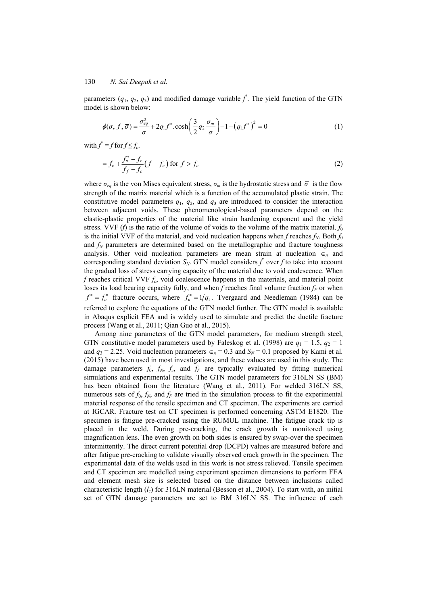parameters  $(q_1, q_2, q_3)$  and modified damage variable  $\hat{f}$ . The yield function of the GTN model is shown below:

$$
\phi(\sigma, f, \overline{\sigma}) = \frac{\sigma_{eq}^2}{\overline{\sigma}} + 2q_1 f^* \cdot \cosh\left(\frac{3}{2}q_2 \frac{\sigma_m}{\overline{\sigma}}\right) - 1 - (q_1 f^*)^2 = 0 \tag{1}
$$

with  $f^* = f$  for  $f \le f_c$ .

$$
= f_c + \frac{f_u^* - f_c}{f_f - f_c} \left( f - f_c \right) \text{ for } f > f_c \tag{2}
$$

where  $\sigma_{eq}$  is the von Mises equivalent stress,  $\sigma_m$  is the hydrostatic stress and  $\bar{\sigma}$  is the flow strength of the matrix material which is a function of the accumulated plastic strain. The constitutive model parameters  $q_1$ ,  $q_2$ , and  $q_3$  are introduced to consider the interaction between adjacent voids. These phenomenological-based parameters depend on the elastic-plastic properties of the material like strain hardening exponent and the yield stress. VVF (*f*) is the ratio of the volume of voids to the volume of the matrix material.  $f_0$ is the initial VVF of the material, and void nucleation happens when  $f$  reaches  $f_N$ . Both  $f_0$ and  $f_N$  parameters are determined based on the metallographic and fracture toughness analysis. Other void nucleation parameters are mean strain at nucleation  $\epsilon_n$  and corresponding standard deviation  $S_N$ . GTN model considers  $f^*$  over  $f$  to take into account the gradual loss of stress carrying capacity of the material due to void coalescence. When *f* reaches critical VVF *f<sup>c</sup>* , void coalescence happens in the materials, and material point loses its load bearing capacity fully, and when *f* reaches final volume fraction  $f_F$  or when  $f^* = f^*$  fracture occurs, where  $f^* = 1/q_1$ . Tvergaard and Needleman (1984) can be referred to explore the equations of the GTN model further. The GTN model is available in Abaqus explicit FEA and is widely used to simulate and predict the ductile fracture process (Wang et al., 2011; Qian Guo et al., 2015).

Among nine parameters of the GTN model parameters, for medium strength steel, GTN constitutive model parameters used by Faleskog et al. (1998) are  $q_1 = 1.5$ ,  $q_2 = 1$ and  $q_3 = 2.25$ . Void nucleation parameters  $\epsilon_n = 0.3$  and  $S_N = 0.1$  proposed by Kami et al. (2015) have been used in most investigations, and these values are used in this study. The damage parameters  $f_0$ ,  $f_N$ ,  $f_c$ , and  $f_F$  are typically evaluated by fitting numerical simulations and experimental results. The GTN model parameters for 316LN SS (BM) has been obtained from the literature (Wang et al., 2011). For welded 316LN SS, numerous sets of  $f_0$ ,  $f_N$ , and  $f_F$  are tried in the simulation process to fit the experimental material response of the tensile specimen and CT specimen. The experiments are carried at IGCAR. Fracture test on CT specimen is performed concerning ASTM E1820. The specimen is fatigue pre-cracked using the RUMUL machine. The fatigue crack tip is placed in the weld. During pre-cracking, the crack growth is monitored using magnification lens. The even growth on both sides is ensured by swap-over the specimen intermittently. The direct current potential drop (DCPD) values are measured before and after fatigue pre-cracking to validate visually observed crack growth in the specimen. The experimental data of the welds used in this work is not stress relieved. Tensile specimen and CT specimen are modelled using experiment specimen dimensions to perform FEA and element mesh size is selected based on the distance between inclusions called characteristic length (*lc*) for 316LN material (Besson et al., 2004). To start with, an initial set of GTN damage parameters are set to BM 316LN SS. The influence of each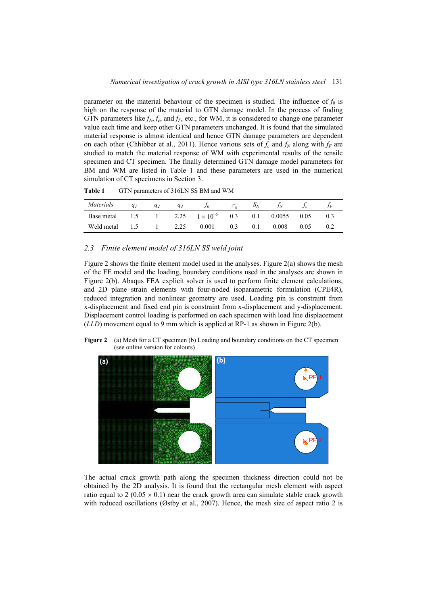parameter on the material behaviour of the specimen is studied. The influence of  $f_0$  is high on the response of the material to GTN damage model. In the process of finding GTN parameters like  $f_N, f_c$ , and  $f_F$ , etc., for WM, it is considered to change one parameter value each time and keep other GTN parameters unchanged. It is found that the simulated material response is almost identical and hence GTN damage parameters are dependent on each other (Chhibber et al., 2011). Hence various sets of  $f_c$  and  $f_N$  along with  $f_F$  are studied to match the material response of WM with experimental results of the tensile specimen and CT specimen. The finally determined GTN damage model parameters for BM and WM are listed in Table 1 and these parameters are used in the numerical simulation of CT specimens in Section 3.

**Table 1** GTN parameters of 316LN SS BM and WM

| Materials                                        | q <sub>1</sub> | $q_2$ | $q_3$            | Jо    | $\epsilon_n$ | $S_N$ | $f_N$  |      |  |
|--------------------------------------------------|----------------|-------|------------------|-------|--------------|-------|--------|------|--|
| Base metal 1.5 1 2.25 $1 \times 10^{-6}$ 0.3 0.1 |                |       |                  |       |              |       | 0.0055 | 0.05 |  |
| Weld metal                                       |                |       | $1.5 \t1 \t2.25$ | 0.001 | 0.3          | 0.1   | 0.008  | 0.05 |  |

# *2.3 Finite element model of 316LN SS weld joint*

Figure 2 shows the finite element model used in the analyses. Figure  $2(a)$  shows the mesh of the FE model and the loading, boundary conditions used in the analyses are shown in Figure 2(b). Abaqus FEA explicit solver is used to perform finite element calculations, and 2D plane strain elements with four-noded isoparametric formulation (CPE4R), reduced integration and nonlinear geometry are used. Loading pin is constraint from x-displacement and fixed end pin is constraint from x-displacement and y-displacement. Displacement control loading is performed on each specimen with load line displacement (*LLD*) movement equal to 9 mm which is applied at RP-1 as shown in Figure 2(b).





The actual crack growth path along the specimen thickness direction could not be obtained by the 2D analysis. It is found that the rectangular mesh element with aspect ratio equal to 2 (0.05  $\times$  0.1) near the crack growth area can simulate stable crack growth with reduced oscillations (Østby et al., 2007). Hence, the mesh size of aspect ratio 2 is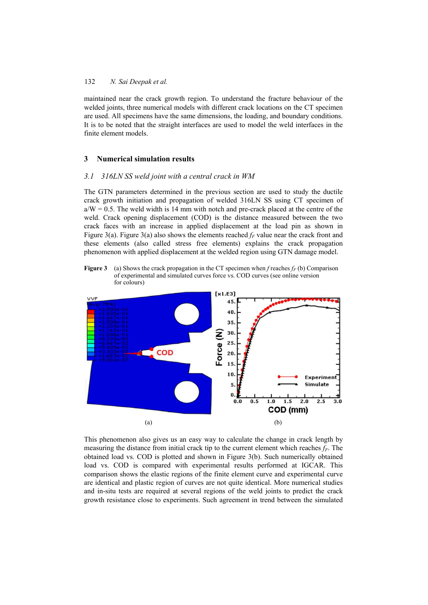maintained near the crack growth region. To understand the fracture behaviour of the welded joints, three numerical models with different crack locations on the CT specimen are used. All specimens have the same dimensions, the loading, and boundary conditions. It is to be noted that the straight interfaces are used to model the weld interfaces in the finite element models.

#### **3 Numerical simulation results**

#### *3.1 316LN SS weld joint with a central crack in WM*

The GTN parameters determined in the previous section are used to study the ductile crack growth initiation and propagation of welded 316LN SS using CT specimen of  $a/W = 0.5$ . The weld width is 14 mm with notch and pre-crack placed at the centre of the weld. Crack opening displacement (COD) is the distance measured between the two crack faces with an increase in applied displacement at the load pin as shown in Figure 3(a). Figure 3(a) also shows the elements reached  $f_F$  value near the crack front and these elements (also called stress free elements) explains the crack propagation phenomenon with applied displacement at the welded region using GTN damage model.

**Figure 3** (a) Shows the crack propagation in the CT specimen when *f* reaches  $f_F$  (b) Comparison of experimental and simulated curves force vs. COD curves (see online version for colours)



This phenomenon also gives us an easy way to calculate the change in crack length by measuring the distance from initial crack tip to the current element which reaches *fF*. The obtained load vs. COD is plotted and shown in Figure 3(b). Such numerically obtained load vs. COD is compared with experimental results performed at IGCAR. This comparison shows the elastic regions of the finite element curve and experimental curve are identical and plastic region of curves are not quite identical. More numerical studies and in-situ tests are required at several regions of the weld joints to predict the crack growth resistance close to experiments. Such agreement in trend between the simulated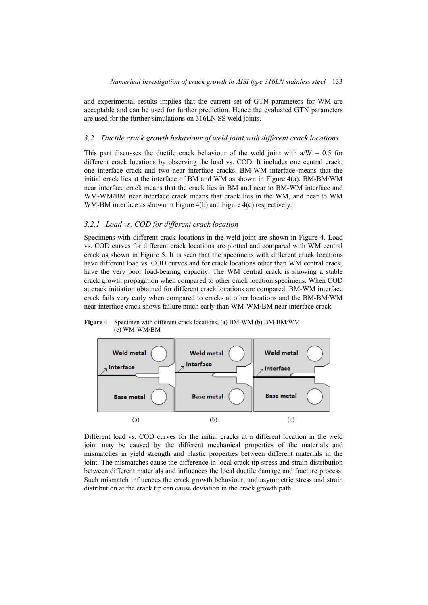and experimental results implies that the current set of GTN parameters for WM are acceptable and can be used for further prediction. Hence the evaluated GTN parameters are used for the further simulations on 316LN SS weld joints.

### *3.2 Ductile crack growth behaviour of weld joint with different crack locations*

This part discusses the ductile crack behaviour of the weld joint with  $a/W = 0.5$  for different crack locations by observing the load vs. COD. It includes one central crack, one interface crack and two near interface cracks. BM-WM interface means that the initial crack lies at the interface of BM and WM as shown in Figure 4(a). BM-BM/WM near interface crack means that the crack lies in BM and near to BM-WM interface and WM-WM/BM near interface crack means that crack lies in the WM, and near to WM WM-BM interface as shown in Figure 4(b) and Figure 4(c) respectively.

# *3.2.1 Load vs. COD for different crack location*

Specimens with different crack locations in the weld joint are shown in Figure 4. Load vs. COD curves for different crack locations are plotted and compared with WM central crack as shown in Figure 5. It is seen that the specimens with different crack locations have different load vs. COD curves and for crack locations other than WM central crack, have the very poor load-bearing capacity. The WM central crack is showing a stable crack growth propagation when compared to other crack location specimens. When COD at crack initiation obtained for different crack locations are compared, BM-WM interface crack fails very early when compared to cracks at other locations and the BM-BM/WM near interface crack shows failure much early than WM-WM/BM near interface crack.

**Figure 4** Specimen with different crack locations, (a) BM-WM (b) BM-BM/WM (c) WM-WM/BM



Different load vs. COD curves for the initial cracks at a different location in the weld joint may be caused by the different mechanical properties of the materials and mismatches in yield strength and plastic properties between different materials in the joint. The mismatches cause the difference in local crack tip stress and strain distribution between different materials and influences the local ductile damage and fracture process. Such mismatch influences the crack growth behaviour, and asymmetric stress and strain distribution at the crack tip can cause deviation in the crack growth path.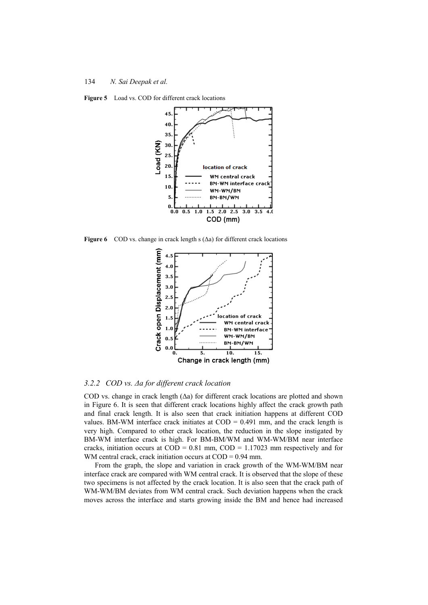**Figure 5** Load vs. COD for different crack locations



**Figure 6** COD vs. change in crack length s (Δa) for different crack locations



# *3.2.2 COD vs. Δa for different crack location*

COD vs. change in crack length (Δa) for different crack locations are plotted and shown in Figure 6. It is seen that different crack locations highly affect the crack growth path and final crack length. It is also seen that crack initiation happens at different COD values. BM-WM interface crack initiates at  $\text{COD} = 0.491$  mm, and the crack length is very high. Compared to other crack location, the reduction in the slope instigated by BM-WM interface crack is high. For BM-BM/WM and WM-WM/BM near interface cracks, initiation occurs at  $\text{COD} = 0.81 \text{ mm}$ ,  $\text{COD} = 1.17023 \text{ mm}$  respectively and for WM central crack, crack initiation occurs at COD = 0.94 mm.

From the graph, the slope and variation in crack growth of the WM-WM/BM near interface crack are compared with WM central crack. It is observed that the slope of these two specimens is not affected by the crack location. It is also seen that the crack path of WM-WM/BM deviates from WM central crack. Such deviation happens when the crack moves across the interface and starts growing inside the BM and hence had increased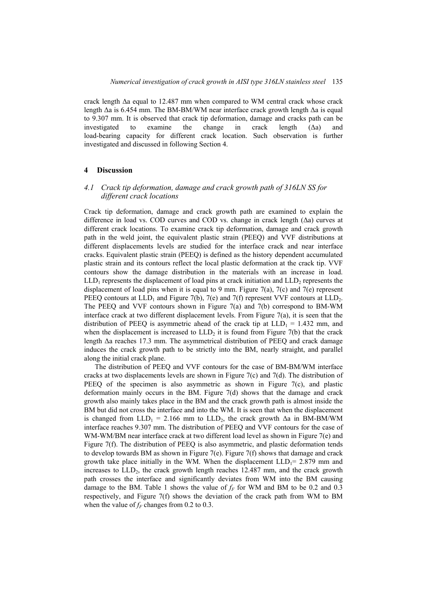crack length Δa equal to 12.487 mm when compared to WM central crack whose crack length Δa is 6.454 mm. The BM-BM/WM near interface crack growth length Δa is equal to 9.307 mm. It is observed that crack tip deformation, damage and cracks path can be investigated to examine the change in crack length  $(\Delta a)$  and load-bearing capacity for different crack location. Such observation is further investigated and discussed in following Section 4.

### **4 Discussion**

# *4.1 Crack tip deformation, damage and crack growth path of 316LN SS for different crack locations*

Crack tip deformation, damage and crack growth path are examined to explain the difference in load vs. COD curves and COD vs. change in crack length (Δa) curves at different crack locations. To examine crack tip deformation, damage and crack growth path in the weld joint, the equivalent plastic strain (PEEQ) and VVF distributions at different displacements levels are studied for the interface crack and near interface cracks. Equivalent plastic strain (PEEQ) is defined as the history dependent accumulated plastic strain and its contours reflect the local plastic deformation at the crack tip. VVF contours show the damage distribution in the materials with an increase in load.  $LLD_1$  represents the displacement of load pins at crack initiation and  $LLD_2$  represents the displacement of load pins when it is equal to 9 mm. Figure 7(a), 7(c) and 7(e) represent PEEQ contours at  $LLD_1$  and Figure 7(b), 7(e) and 7(f) represent VVF contours at  $LLD_2$ . The PEEQ and VVF contours shown in Figure  $7(a)$  and  $7(b)$  correspond to BM-WM interface crack at two different displacement levels. From Figure 7(a), it is seen that the distribution of PEEQ is asymmetric ahead of the crack tip at  $LLD_1 = 1.432$  mm, and when the displacement is increased to  $LLD<sub>2</sub>$  it is found from Figure 7(b) that the crack length Δa reaches 17.3 mm. The asymmetrical distribution of PEEQ and crack damage induces the crack growth path to be strictly into the BM, nearly straight, and parallel along the initial crack plane.

The distribution of PEEQ and VVF contours for the case of BM-BM/WM interface cracks at two displacements levels are shown in Figure 7(c) and 7(d). The distribution of PEEQ of the specimen is also asymmetric as shown in Figure 7(c), and plastic deformation mainly occurs in the BM. Figure 7(d) shows that the damage and crack growth also mainly takes place in the BM and the crack growth path is almost inside the BM but did not cross the interface and into the WM. It is seen that when the displacement is changed from  $LLD_1 = 2.166$  mm to  $LLD_2$ , the crack growth  $\Delta a$  in BM-BM/WM interface reaches 9.307 mm. The distribution of PEEQ and VVF contours for the case of WM-WM/BM near interface crack at two different load level as shown in Figure 7(e) and Figure 7(f). The distribution of PEEQ is also asymmetric, and plastic deformation tends to develop towards BM as shown in Figure 7(e). Figure 7(f) shows that damage and crack growth take place initially in the WM. When the displacement  $LLD_1 = 2.879$  mm and increases to  $LLD_2$ , the crack growth length reaches 12.487 mm, and the crack growth path crosses the interface and significantly deviates from WM into the BM causing damage to the BM. Table 1 shows the value of  $f_F$  for WM and BM to be 0.2 and 0.3 respectively, and Figure 7(f) shows the deviation of the crack path from WM to BM when the value of  $f_F$  changes from 0.2 to 0.3.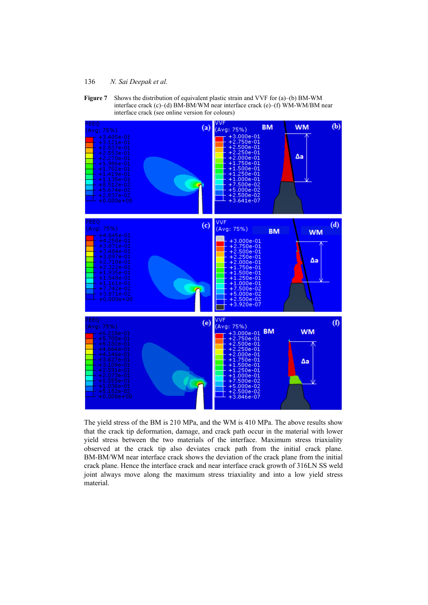

**Figure 7** Shows the distribution of equivalent plastic strain and VVF for (a)–(b) BM-WM interface crack (c)–(d) BM-BM/WM near interface crack (e)–(f) WM-WM/BM near interface crack (see online version for colours)

The yield stress of the BM is 210 MPa, and the WM is 410 MPa. The above results show that the crack tip deformation, damage, and crack path occur in the material with lower yield stress between the two materials of the interface. Maximum stress triaxiality observed at the crack tip also deviates crack path from the initial crack plane. BM-BM/WM near interface crack shows the deviation of the crack plane from the initial crack plane. Hence the interface crack and near interface crack growth of 316LN SS weld joint always move along the maximum stress triaxiality and into a low yield stress material.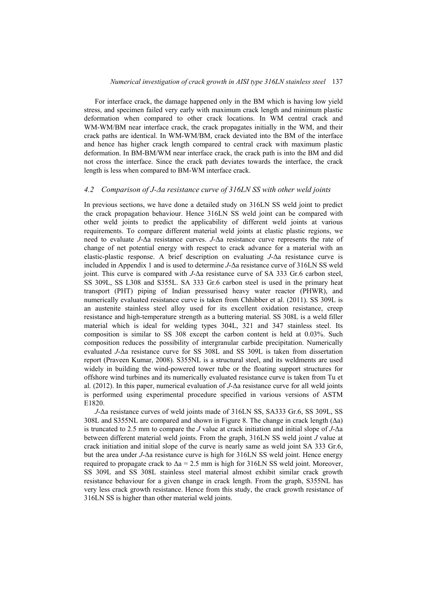For interface crack, the damage happened only in the BM which is having low yield stress, and specimen failed very early with maximum crack length and minimum plastic deformation when compared to other crack locations. In WM central crack and WM-WM/BM near interface crack, the crack propagates initially in the WM, and their crack paths are identical. In WM-WM/BM, crack deviated into the BM of the interface and hence has higher crack length compared to central crack with maximum plastic deformation. In BM-BM/WM near interface crack, the crack path is into the BM and did not cross the interface. Since the crack path deviates towards the interface, the crack length is less when compared to BM-WM interface crack.

#### *4.2 Comparison of J-Δa resistance curve of 316LN SS with other weld joints*

In previous sections, we have done a detailed study on 316LN SS weld joint to predict the crack propagation behaviour. Hence 316LN SS weld joint can be compared with other weld joints to predict the applicability of different weld joints at various requirements. To compare different material weld joints at elastic plastic regions, we need to evaluate *J*-Δa resistance curves. *J*-Δa resistance curve represents the rate of change of net potential energy with respect to crack advance for a material with an elastic-plastic response. A brief description on evaluating *J*-Δa resistance curve is included in Appendix 1 and is used to determine *J*-Δa resistance curve of 316LN SS weld joint. This curve is compared with *J*-Δa resistance curve of SA 333 Gr.6 carbon steel, SS 309L, SS L308 and S355L. SA 333 Gr.6 carbon steel is used in the primary heat transport (PHT) piping of Indian pressurised heavy water reactor (PHWR), and numerically evaluated resistance curve is taken from Chhibber et al. (2011). SS 309L is an austenite stainless steel alloy used for its excellent oxidation resistance, creep resistance and high-temperature strength as a buttering material. SS 308L is a weld filler material which is ideal for welding types 304L, 321 and 347 stainless steel. Its composition is similar to SS 308 except the carbon content is held at 0.03%. Such composition reduces the possibility of intergranular carbide precipitation. Numerically evaluated *J*-Δa resistance curve for SS 308L and SS 309L is taken from dissertation report (Praveen Kumar, 2008). S355NL is a structural steel, and its weldments are used widely in building the wind-powered tower tube or the floating support structures for offshore wind turbines and its numerically evaluated resistance curve is taken from Tu et al. (2012). In this paper, numerical evaluation of *J*-Δa resistance curve for all weld joints is performed using experimental procedure specified in various versions of ASTM E1820.

*J*-Δa resistance curves of weld joints made of 316LN SS, SA333 Gr.6, SS 309L, SS 308L and S355NL are compared and shown in Figure 8. The change in crack length (Δa) is truncated to 2.5 mm to compare the *J* value at crack initiation and initial slope of *J*-Δa between different material weld joints. From the graph, 316LN SS weld joint *J* value at crack initiation and initial slope of the curve is nearly same as weld joint SA 333 Gr.6, but the area under *J*-Δa resistance curve is high for 316LN SS weld joint. Hence energy required to propagate crack to  $\Delta a = 2.5$  mm is high for 316LN SS weld joint. Moreover, SS 309L and SS 308L stainless steel material almost exhibit similar crack growth resistance behaviour for a given change in crack length. From the graph, S355NL has very less crack growth resistance. Hence from this study, the crack growth resistance of 316LN SS is higher than other material weld joints.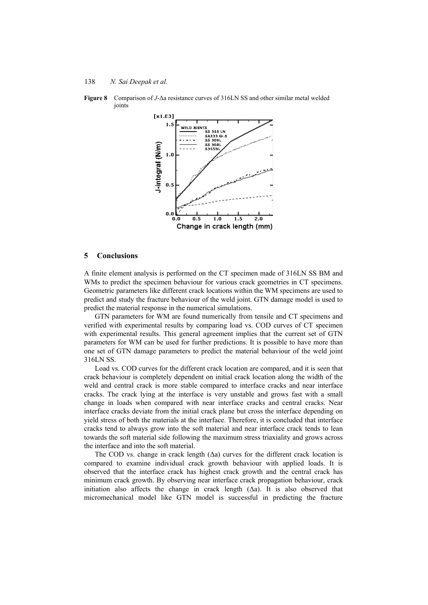

**Figure 8** Comparison of *J*-Δa resistance curves of 316LN SS and other similar metal welded joints

#### **5 Conclusions**

A finite element analysis is performed on the CT specimen made of 316LN SS BM and WMs to predict the specimen behaviour for various crack geometries in CT specimens. Geometric parameters like different crack locations within the WM specimens are used to predict and study the fracture behaviour of the weld joint. GTN damage model is used to predict the material response in the numerical simulations.

GTN parameters for WM are found numerically from tensile and CT specimens and verified with experimental results by comparing load vs. COD curves of CT specimen with experimental results. This general agreement implies that the current set of GTN parameters for WM can be used for further predictions. It is possible to have more than one set of GTN damage parameters to predict the material behaviour of the weld joint 316LN SS.

Load vs. COD curves for the different crack location are compared, and it is seen that crack behaviour is completely dependent on initial crack location along the width of the weld and central crack is more stable compared to interface cracks and near interface cracks. The crack lying at the interface is very unstable and grows fast with a small change in loads when compared with near interface cracks and central cracks. Near interface cracks deviate from the initial crack plane but cross the interface depending on yield stress of both the materials at the interface. Therefore, it is concluded that interface cracks tend to always grow into the soft material and near interface crack tends to lean towards the soft material side following the maximum stress triaxiality and grows across the interface and into the soft material.

The COD vs. change in crack length  $(\Delta a)$  curves for the different crack location is compared to examine individual crack growth behaviour with applied loads. It is observed that the interface crack has highest crack growth and the central crack has minimum crack growth. By observing near interface crack propagation behaviour, crack initiation also affects the change in crack length  $(\Delta a)$ . It is also observed that micromechanical model like GTN model is successful in predicting the fracture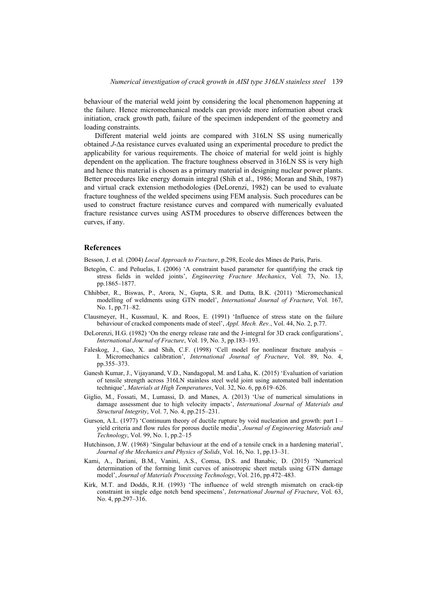behaviour of the material weld joint by considering the local phenomenon happening at the failure. Hence micromechanical models can provide more information about crack initiation, crack growth path, failure of the specimen independent of the geometry and loading constraints.

Different material weld joints are compared with 316LN SS using numerically obtained *J*-Δa resistance curves evaluated using an experimental procedure to predict the applicability for various requirements. The choice of material for weld joint is highly dependent on the application. The fracture toughness observed in 316LN SS is very high and hence this material is chosen as a primary material in designing nuclear power plants. Better procedures like energy domain integral (Shih et al., 1986; Moran and Shih, 1987) and virtual crack extension methodologies (DeLorenzi, 1982) can be used to evaluate fracture toughness of the welded specimens using FEM analysis. Such procedures can be used to construct fracture resistance curves and compared with numerically evaluated fracture resistance curves using ASTM procedures to observe differences between the curves, if any.

## **References**

Besson, J. et al. (2004) *Local Approach to Fracture*, p.298, Ecole des Mines de Paris, Paris.

- Betegón, C. and Peñuelas, I. (2006) 'A constraint based parameter for quantifying the crack tip stress fields in welded joints', *Engineering Fracture Mechanics*, Vol. 73, No. 13, pp.1865–1877.
- Chhibber, R., Biswas, P., Arora, N., Gupta, S.R. and Dutta, B.K. (2011) 'Micromechanical modelling of weldments using GTN model', *International Journal of Fracture*, Vol. 167, No. 1, pp.71–82.
- Clausmeyer, H., Kussmaul, K. and Roos, E. (1991) 'Influence of stress state on the failure behaviour of cracked components made of steel', *Appl. Mech. Rev.*, Vol. 44, No. 2, p.77.
- DeLorenzi, H.G. (1982) 'On the energy release rate and the J-integral for 3D crack configurations', *International Journal of Fracture*, Vol. 19, No. 3, pp.183–193.
- Faleskog, J., Gao, X. and Shih, C.F. (1998) 'Cell model for nonlinear fracture analysis I. Micromechanics calibration', *International Journal of Fracture*, Vol. 89, No. 4, pp.355–373.
- Ganesh Kumar, J., Vijayanand, V.D., Nandagopal, M. and Laha, K. (2015) 'Evaluation of variation of tensile strength across 316LN stainless steel weld joint using automated ball indentation technique', *Materials at High Temperatures*, Vol. 32, No. 6, pp.619–626.
- Giglio, M., Fossati, M., Lumassi, D. and Manes, A. (2013) 'Use of numerical simulations in damage assessment due to high velocity impacts', *International Journal of Materials and Structural Integrity*, Vol. 7, No. 4, pp.215–231.
- Gurson, A.L. (1977) 'Continuum theory of ductile rupture by void nucleation and growth: part I yield criteria and flow rules for porous ductile media', *Journal of Engineering Materials and Technology*, Vol. 99, No. 1, pp.2–15
- Hutchinson, J.W. (1968) 'Singular behaviour at the end of a tensile crack in a hardening material', *Journal of the Mechanics and Physics of Solids*, Vol. 16, No. 1, pp.13–31.
- Kami, A., Dariani, B.M., Vanini, A.S., Comsa, D.S. and Banabic, D. (2015) 'Numerical determination of the forming limit curves of anisotropic sheet metals using GTN damage model', *Journal of Materials Processing Technology*, Vol. 216, pp.472–483.
- Kirk, M.T. and Dodds, R.H. (1993) 'The influence of weld strength mismatch on crack-tip constraint in single edge notch bend specimens', *International Journal of Fracture*, Vol. 63, No. 4, pp.297–316.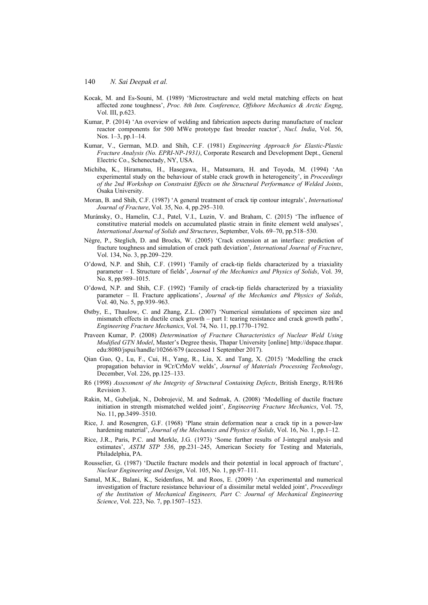- Kocak, M. and Es-Souni, M. (1989) 'Microstructure and weld metal matching effects on heat affected zone toughness', *Proc. 8th Intn. Conference, Offshore Mechanics & Arctic Engng*, Vol. III, p.623.
- Kumar, P. (2014) 'An overview of welding and fabrication aspects during manufacture of nuclear reactor components for 500 MWe prototype fast breeder reactor', *Nucl. India*, Vol. 56, Nos. 1–3, pp.1–14.
- Kumar, V., German, M.D. and Shih, C.F. (1981) *Engineering Approach for Elastic-Plastic Fracture Analysis (No. EPRI-NP-1931)*, Corporate Research and Development Dept., General Electric Co., Schenectady, NY, USA.
- Michiba, K., Hiramatsu, H., Hasegawa, H., Matsumara, H. and Toyoda, M. (1994) 'An experimental study on the behaviour of stable crack growth in heterogeneity', in *Proceedings of the 2nd Workshop on Constraint Effects on the Structural Performance of Welded Joints*, Osaka University.
- Moran, B. and Shih, C.F. (1987) 'A general treatment of crack tip contour integrals', *International Journal of Fracture*, Vol. 35, No. 4, pp.295–310.
- Muránsky, O., Hamelin, C.J., Patel, V.I., Luzin, V. and Braham, C. (2015) 'The influence of constitutive material models on accumulated plastic strain in finite element weld analyses', *International Journal of Solids and Structures*, September, Vols. 69–70, pp.518–530.
- Nègre, P., Steglich, D. and Brocks, W. (2005) 'Crack extension at an interface: prediction of fracture toughness and simulation of crack path deviation', *International Journal of Fracture*, Vol. 134, No. 3, pp.209–229.
- O'dowd, N.P. and Shih, C.F. (1991) 'Family of crack-tip fields characterized by a triaxiality parameter – I. Structure of fields', *Journal of the Mechanics and Physics of Solids*, Vol. 39, No. 8, pp.989–1015.
- O'dowd, N.P. and Shih, C.F. (1992) 'Family of crack-tip fields characterized by a triaxiality parameter – II. Fracture applications', *Journal of the Mechanics and Physics of Solids*, Vol. 40, No. 5, pp.939–963.
- Østby, E., Thaulow, C. and Zhang, Z.L. (2007) 'Numerical simulations of specimen size and mismatch effects in ductile crack growth – part I: tearing resistance and crack growth paths', *Engineering Fracture Mechanics*, Vol. 74, No. 11, pp.1770–1792.
- Praveen Kumar, P. (2008) *Determination of Fracture Characteristics of Nuclear Weld Using Modified GTN Model*, Master's Degree thesis, Thapar University [online] http://dspace.thapar. edu:8080/jspui/handle/10266/679 (accessed 1 September 2017).
- Qian Guo, Q., Lu, F., Cui, H., Yang, R., Liu, X. and Tang, X. (2015) 'Modelling the crack propagation behavior in 9Cr/CrMoV welds', *Journal of Materials Processing Technology*, December, Vol. 226, pp.125–133.
- R6 (1998) *Assessment of the Integrity of Structural Containing Defects*, British Energy, R/H/R6 Revision 3.
- Rakin, M., Gubeljak, N., Dobrojević, M. and Sedmak, A. (2008) 'Modelling of ductile fracture initiation in strength mismatched welded joint', *Engineering Fracture Mechanics*, Vol. 75, No. 11, pp.3499–3510.
- Rice, J. and Rosengren, G.F. (1968) 'Plane strain deformation near a crack tip in a power-law hardening material', *Journal of the Mechanics and Physics of Solids*, Vol. 16, No. 1, pp.1–12.
- Rice, J.R., Paris, P.C. and Merkle, J.G. (1973) 'Some further results of J-integral analysis and estimates', *ASTM STP 536*, pp.231–245, American Society for Testing and Materials, Philadelphia, PA.
- Rousselier, G. (1987) 'Ductile fracture models and their potential in local approach of fracture', *Nuclear Engineering and Design*, Vol. 105, No. 1, pp.97–111.
- Samal, M.K., Balani, K., Seidenfuss, M. and Roos, E. (2009) 'An experimental and numerical investigation of fracture resistance behaviour of a dissimilar metal welded joint', *Proceedings of the Institution of Mechanical Engineers, Part C: Journal of Mechanical Engineering Science*, Vol. 223, No. 7, pp.1507–1523.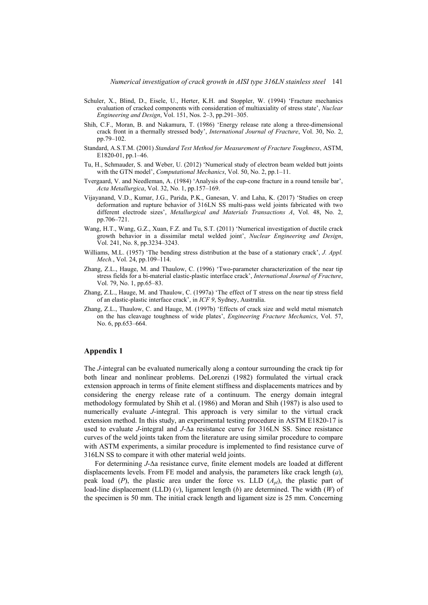- Schuler, X., Blind, D., Eisele, U., Herter, K.H. and Stoppler, W. (1994) 'Fracture mechanics evaluation of cracked components with consideration of multiaxiality of stress state', *Nuclear Engineering and Design*, Vol. 151, Nos. 2–3, pp.291–305.
- Shih, C.F., Moran, B. and Nakamura, T. (1986) 'Energy release rate along a three-dimensional crack front in a thermally stressed body', *International Journal of Fracture*, Vol. 30, No. 2, pp.79–102.
- Standard, A.S.T.M. (2001) *Standard Test Method for Measurement of Fracture Toughness*, ASTM, E1820-01, pp.1–46.
- Tu, H., Schmauder, S. and Weber, U. (2012) 'Numerical study of electron beam welded butt joints with the GTN model', *Computational Mechanics*, Vol. 50, No. 2, pp.1–11.
- Tvergaard, V. and Needleman, A. (1984) 'Analysis of the cup-cone fracture in a round tensile bar', *Acta Metallurgica*, Vol. 32, No. 1, pp.157–169.
- Vijayanand, V.D., Kumar, J.G., Parida, P.K., Ganesan, V. and Laha, K. (2017) 'Studies on creep deformation and rupture behavior of 316LN SS multi-pass weld joints fabricated with two different electrode sizes', *Metallurgical and Materials Transactions A*, Vol. 48, No. 2, pp.706–721.
- Wang, H.T., Wang, G.Z., Xuan, F.Z. and Tu, S.T. (2011) 'Numerical investigation of ductile crack growth behavior in a dissimilar metal welded joint', *Nuclear Engineering and Design*, Vol. 241, No. 8, pp.3234–3243.
- Williams, M.L. (1957) 'The bending stress distribution at the base of a stationary crack', *J. Appl. Mech.*, Vol. 24, pp.109–114.
- Zhang, Z.L., Hauge, M. and Thaulow, C. (1996) 'Two-parameter characterization of the near tip stress fields for a bi-material elastic-plastic interface crack', *International Journal of Fracture*, Vol. 79, No. 1, pp.65–83.
- Zhang, Z.L., Hauge, M. and Thaulow, C. (1997a) 'The effect of T stress on the near tip stress field of an elastic-plastic interface crack', in *ICF 9*, Sydney, Australia.
- Zhang, Z.L., Thaulow, C. and Hauge, M. (1997b) 'Effects of crack size and weld metal mismatch on the has cleavage toughness of wide plates', *Engineering Fracture Mechanics*, Vol. 57, No. 6, pp.653–664.

# **Appendix 1**

The *J*-integral can be evaluated numerically along a contour surrounding the crack tip for both linear and nonlinear problems. DeLorenzi (1982) formulated the virtual crack extension approach in terms of finite element stiffness and displacements matrices and by considering the energy release rate of a continuum. The energy domain integral methodology formulated by Shih et al. (1986) and Moran and Shih (1987) is also used to numerically evaluate *J*-integral. This approach is very similar to the virtual crack extension method. In this study, an experimental testing procedure in ASTM E1820-17 is used to evaluate *J*-integral and *J*-Δa resistance curve for 316LN SS. Since resistance curves of the weld joints taken from the literature are using similar procedure to compare with ASTM experiments, a similar procedure is implemented to find resistance curve of 316LN SS to compare it with other material weld joints.

For determining *J*-Δa resistance curve, finite element models are loaded at different displacements levels. From FE model and analysis, the parameters like crack length (*a*), peak load  $(P)$ , the plastic area under the force vs. LLD  $(A_{p})$ , the plastic part of load-line displacement (LLD) (*v*), ligament length (*b*) are determined. The width (*W*) of the specimen is 50 mm. The initial crack length and ligament size is 25 mm. Concerning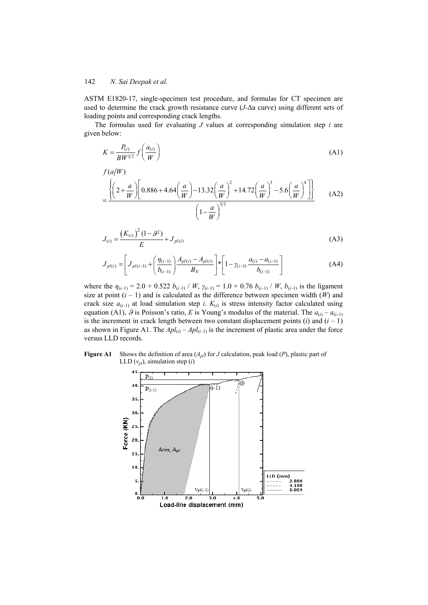ASTM E1820-17, single-specimen test procedure, and formulas for CT specimen are used to determine the crack growth resistance curve (*J*-Δa curve) using different sets of loading points and corresponding crack lengths.

The formulas used for evaluating *J* values at corresponding simulation step *i* are given below:

$$
K = \frac{P_{(i)}}{BW^{1/2}} f\left(\frac{a_{(i)}}{W}\right) \tag{A1}
$$

$$
f(a/W)
$$
  
= 
$$
\frac{\left\{ \left(2 + \frac{a}{W}\right) \left[0.886 + 4.64\left(\frac{a}{W}\right) - 13.32\left(\frac{a}{W}\right)^2 + 14.72\left(\frac{a}{W}\right)^3 - 5.6\left(\frac{a}{W}\right)^4 \right] \right\}}{\left(1 - \frac{a}{W}\right)^{3/2}}
$$
 (A2)

$$
J_{(i)} = \frac{(K_{(i)})^2 (1 - \mathcal{G}^2)}{E} + J_{pl(i)}
$$
(A3)

$$
J_{pl(i)} = \left[ J_{pl(i-1)} + \left( \frac{\eta_{(i-1)}}{b_{(i-1)}} \right) \frac{A_{pl(i)} - A_{pl(i)}}{B_N} \right] * \left[ 1 - \gamma_{(i-1)} \frac{a_{(i)} - a_{(i-1)}}{b_{(i-1)}} \right]
$$
(A4)

where the  $\eta_{(i-1)} = 2.0 + 0.522 b_{(i-1)}/W$ ,  $\gamma_{(i-1)} = 1.0 + 0.76 b_{(i-1)}/W$ ,  $b_{(i-1)}$  is the ligament size at point  $(i - 1)$  and is calculated as the difference between specimen width  $(W)$  and crack size  $a_{(i-1)}$  at load simulation step *i*.  $K_{(i)}$  is stress intensity factor calculated using equation (A1),  $\theta$  is Poisson's ratio, *E* is Young's modulus of the material. The  $a_{(i)} - a_{(i-1)}$ is the increment in crack length between two constant displacement points  $(i)$  and  $(i - 1)$ as shown in Figure A1. The  $Apl_{(i)} - Apl_{(i-1)}$  is the increment of plastic area under the force versus LLD records.

**Figure A1** Shows the definition of area  $(A_{p})$  for *J* calculation, peak load (*P*), plastic part of LLD  $(v_{pl})$ , simulation step  $(i)$